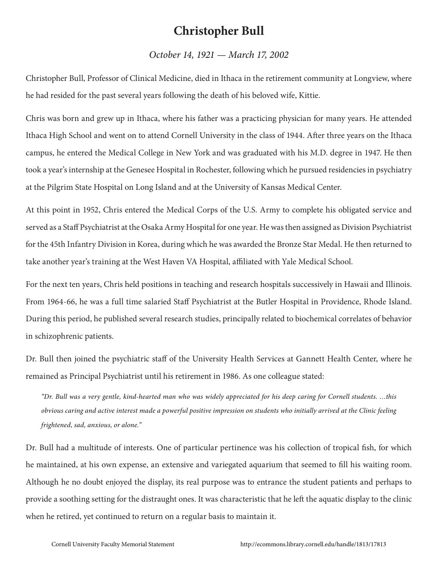## **Christopher Bull**

## *October 14, 1921 — March 17, 2002*

Christopher Bull, Professor of Clinical Medicine, died in Ithaca in the retirement community at Longview, where he had resided for the past several years following the death of his beloved wife, Kittie.

Chris was born and grew up in Ithaca, where his father was a practicing physician for many years. He attended Ithaca High School and went on to attend Cornell University in the class of 1944. After three years on the Ithaca campus, he entered the Medical College in New York and was graduated with his M.D. degree in 1947. He then took a year's internship at the Genesee Hospital in Rochester, following which he pursued residencies in psychiatry at the Pilgrim State Hospital on Long Island and at the University of Kansas Medical Center.

At this point in 1952, Chris entered the Medical Corps of the U.S. Army to complete his obligated service and served as a Staff Psychiatrist at the Osaka Army Hospital for one year. He was then assigned as Division Psychiatrist for the 45th Infantry Division in Korea, during which he was awarded the Bronze Star Medal. He then returned to take another year's training at the West Haven VA Hospital, affiliated with Yale Medical School.

For the next ten years, Chris held positions in teaching and research hospitals successively in Hawaii and Illinois. From 1964-66, he was a full time salaried Staff Psychiatrist at the Butler Hospital in Providence, Rhode Island. During this period, he published several research studies, principally related to biochemical correlates of behavior in schizophrenic patients.

Dr. Bull then joined the psychiatric staff of the University Health Services at Gannett Health Center, where he remained as Principal Psychiatrist until his retirement in 1986. As one colleague stated:

*"Dr. Bull was a very gentle, kind-hearted man who was widely appreciated for his deep caring for Cornell students. …this obvious caring and active interest made a powerful positive impression on students who initially arrived at the Clinic feeling frightened, sad, anxious, or alone."*

Dr. Bull had a multitude of interests. One of particular pertinence was his collection of tropical fish, for which he maintained, at his own expense, an extensive and variegated aquarium that seemed to fill his waiting room. Although he no doubt enjoyed the display, its real purpose was to entrance the student patients and perhaps to provide a soothing setting for the distraught ones. It was characteristic that he left the aquatic display to the clinic when he retired, yet continued to return on a regular basis to maintain it.